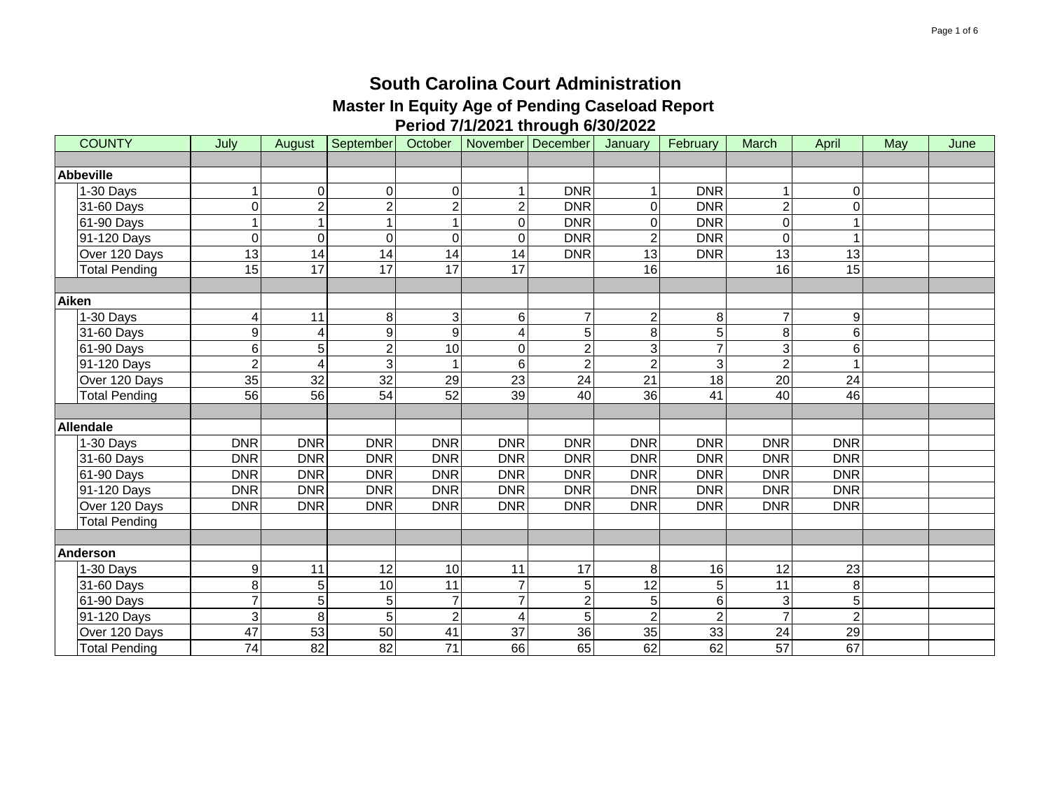| <b>COUNTY</b>        | July            | August         | September        | October        |                | November December | January         | February        | March           | April          | May | June |
|----------------------|-----------------|----------------|------------------|----------------|----------------|-------------------|-----------------|-----------------|-----------------|----------------|-----|------|
|                      |                 |                |                  |                |                |                   |                 |                 |                 |                |     |      |
| <b>Abbeville</b>     |                 |                |                  |                |                |                   |                 |                 |                 |                |     |      |
| 1-30 Days            |                 | $\overline{0}$ | 0                | 0              |                | <b>DNR</b>        |                 | <b>DNR</b>      | 1               | 0              |     |      |
| 31-60 Days           | 0               | $\overline{2}$ | $\overline{c}$   | $\overline{2}$ | $\overline{c}$ | <b>DNR</b>        | $\Omega$        | <b>DNR</b>      | $\overline{c}$  | $\Omega$       |     |      |
| 61-90 Days           |                 |                | 1                |                | 0              | <b>DNR</b>        | $\Omega$        | <b>DNR</b>      | $\mathbf 0$     |                |     |      |
| 91-120 Days          | 0               | $\overline{0}$ | $\overline{0}$   | $\Omega$       | $\Omega$       | <b>DNR</b>        | $\overline{2}$  | <b>DNR</b>      | $\overline{0}$  | 1              |     |      |
| Over 120 Days        | $\overline{13}$ | 14             | $\overline{14}$  | 14             | 14             | <b>DNR</b>        | $\overline{13}$ | <b>DNR</b>      | $\overline{13}$ | 13             |     |      |
| <b>Total Pending</b> | 15              | 17             | 17               | 17             | 17             |                   | 16              |                 | 16              | 15             |     |      |
|                      |                 |                |                  |                |                |                   |                 |                 |                 |                |     |      |
| <b>Aiken</b>         |                 |                |                  |                |                |                   |                 |                 |                 |                |     |      |
| 1-30 Days            | 4               | 11             | 8                | 3              | 6              | $\overline{7}$    | $\overline{2}$  | 8               | $\overline{7}$  | 9              |     |      |
| 31-60 Days           | 9               | 4              | $\boldsymbol{9}$ | 9              | 4              | 5                 | 8               | 5               | 8               | 6              |     |      |
| 61-90 Days           | 6               | 5              | $\overline{2}$   | 10             | $\Omega$       | $\overline{2}$    | 3               | $\overline{7}$  | $\overline{3}$  | 6              |     |      |
| 91-120 Days          | $\overline{2}$  | 4              | $\mathsf 3$      |                | 6              | $\overline{2}$    | $\overline{2}$  | 3               | $\overline{2}$  |                |     |      |
| Over 120 Days        | $\overline{35}$ | 32             | 32               | 29             | 23             | 24                | $\overline{21}$ | 18              | $\overline{20}$ | 24             |     |      |
| <b>Total Pending</b> | 56              | 56             | 54               | 52             | 39             | $\overline{40}$   | 36              | $\overline{41}$ | 40              | 46             |     |      |
|                      |                 |                |                  |                |                |                   |                 |                 |                 |                |     |      |
| <b>Allendale</b>     |                 |                |                  |                |                |                   |                 |                 |                 |                |     |      |
| 1-30 Days            | <b>DNR</b>      | <b>DNR</b>     | <b>DNR</b>       | <b>DNR</b>     | <b>DNR</b>     | <b>DNR</b>        | <b>DNR</b>      | <b>DNR</b>      | <b>DNR</b>      | <b>DNR</b>     |     |      |
| 31-60 Days           | <b>DNR</b>      | <b>DNR</b>     | <b>DNR</b>       | <b>DNR</b>     | <b>DNR</b>     | <b>DNR</b>        | <b>DNR</b>      | <b>DNR</b>      | <b>DNR</b>      | <b>DNR</b>     |     |      |
| 61-90 Days           | <b>DNR</b>      | <b>DNR</b>     | <b>DNR</b>       | <b>DNR</b>     | <b>DNR</b>     | <b>DNR</b>        | <b>DNR</b>      | <b>DNR</b>      | <b>DNR</b>      | <b>DNR</b>     |     |      |
| 91-120 Days          | <b>DNR</b>      | <b>DNR</b>     | <b>DNR</b>       | <b>DNR</b>     | <b>DNR</b>     | <b>DNR</b>        | <b>DNR</b>      | <b>DNR</b>      | <b>DNR</b>      | <b>DNR</b>     |     |      |
| Over 120 Days        | <b>DNR</b>      | <b>DNR</b>     | <b>DNR</b>       | <b>DNR</b>     | <b>DNR</b>     | <b>DNR</b>        | <b>DNR</b>      | <b>DNR</b>      | <b>DNR</b>      | <b>DNR</b>     |     |      |
| <b>Total Pending</b> |                 |                |                  |                |                |                   |                 |                 |                 |                |     |      |
|                      |                 |                |                  |                |                |                   |                 |                 |                 |                |     |      |
| Anderson             |                 |                |                  |                |                |                   |                 |                 |                 |                |     |      |
| 1-30 Days            | 9               | 11             | 12               | 10             | 11             | 17                | 8               | 16              | 12              | 23             |     |      |
| 31-60 Days           | 8               | 5              | 10               | 11             | $\overline{7}$ | 5                 | 12              | 5               | 11              | 8              |     |      |
| 61-90 Days           | $\overline{7}$  | 5              | 5                | $\overline{7}$ | $\overline{7}$ | $\overline{2}$    | 5               | 6               | 3               | 5              |     |      |
| 91-120 Days          | 3               | $\,8\,$        | 5                | $\overline{2}$ | 4              | 5                 |                 | $\overline{2}$  | $\overline{7}$  | $\overline{2}$ |     |      |
| Over 120 Days        | 47              | 53             | 50               | 41             | 37             | 36                | $\overline{35}$ | 33              | 24              | 29             |     |      |
| <b>Total Pending</b> | 74              | 82             | $\overline{82}$  | 71             | 66             | 65                | 62              | 62              | $\overline{57}$ | 67             |     |      |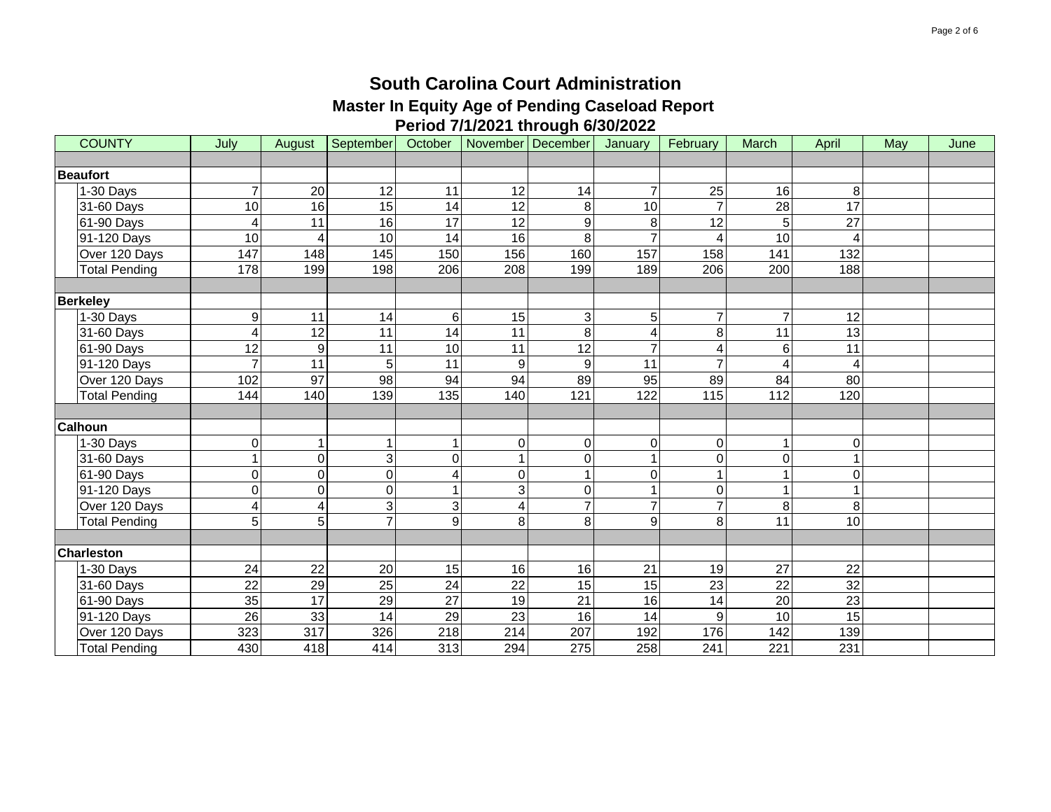| <b>COUNTY</b>        | July            | August           | September        | October          |                         | November December         | January         | February       | <b>March</b>    | April                 | May | June |
|----------------------|-----------------|------------------|------------------|------------------|-------------------------|---------------------------|-----------------|----------------|-----------------|-----------------------|-----|------|
|                      |                 |                  |                  |                  |                         |                           |                 |                |                 |                       |     |      |
| <b>Beaufort</b>      |                 |                  |                  |                  |                         |                           |                 |                |                 |                       |     |      |
| 1-30 Days            |                 | 20               | 12               | 11               | 12                      | 14                        | $\overline{7}$  | 25             | 16              | 8                     |     |      |
| 31-60 Days           | 10              | 16               | 15               | 14               | $\overline{12}$         | 8                         | 10              |                | $\overline{28}$ | 17                    |     |      |
| 61-90 Days           | 4               | 11               | 16               | 17               | 12                      | 9                         | 8               | 12             | 5               | 27                    |     |      |
| 91-120 Days          | 10              | 4                | 10               | 14               | 16                      | 8                         | $\overline{7}$  | 4              | $\overline{10}$ | $\boldsymbol{\Delta}$ |     |      |
| Over 120 Days        | 147             | 148              | 145              | 150              | 156                     | 160                       | 157             | 158            | 141             | 132                   |     |      |
| Total Pending        | 178             | 199              | 198              | 206              | 208                     | 199                       | 189             | 206            | 200             | 188                   |     |      |
|                      |                 |                  |                  |                  |                         |                           |                 |                |                 |                       |     |      |
| <b>Berkeley</b>      |                 |                  |                  |                  |                         |                           |                 |                |                 |                       |     |      |
| 1-30 Days            | 9               | 11               | 14               | 6                | 15                      | $\ensuremath{\mathsf{3}}$ | 5               | $\overline{7}$ | $\overline{7}$  | 12                    |     |      |
| 31-60 Days           | 4               | 12               | 11               | 14               | 11                      | 8                         | $\overline{4}$  | 8              | 11              | 13                    |     |      |
| 61-90 Days           | $\overline{12}$ | $\overline{9}$   | 11               | 10               | 11                      | 12                        | $\overline{7}$  | 4              | 6               | 11                    |     |      |
| 91-120 Days          | 7               | 11               | 5 <sub>1</sub>   | 11               | $\boldsymbol{9}$        | $\boldsymbol{9}$          | 11              | $\overline{7}$ | $\overline{4}$  | $\overline{A}$        |     |      |
| Over 120 Days        | 102             | $\overline{97}$  | $\overline{98}$  | 94               | 94                      | 89                        | 95              | 89             | 84              | 80                    |     |      |
| <b>Total Pending</b> | 144             | 140              | 139              | 135              | 140                     | $\overline{121}$          | 122             | 115            | 112             | 120                   |     |      |
|                      |                 |                  |                  |                  |                         |                           |                 |                |                 |                       |     |      |
| <b>Calhoun</b>       |                 |                  |                  |                  |                         |                           |                 |                |                 |                       |     |      |
| 1-30 Days            | 0               | 1                | $\mathbf 1$      |                  | $\overline{0}$          | $\pmb{0}$                 | 0               | 0              | $\mathbf 1$     | $\mathbf 0$           |     |      |
| 31-60 Days           |                 | $\overline{0}$   | 3                | $\Omega$         |                         | $\mathbf 0$               |                 | 0              | $\mathbf 0$     |                       |     |      |
| 61-90 Days           | 0               | 0                | $\boldsymbol{0}$ | 4                | $\mathbf 0$             | 1                         | $\Omega$        |                | $\overline{1}$  | $\Omega$              |     |      |
| 91-120 Days          | 0               | $\overline{0}$   | $\mathbf 0$      |                  | 3                       | 0                         |                 | 0              | $\mathbf{1}$    |                       |     |      |
| Over 120 Days        | 4               | 4                | 3                | 3                | $\overline{\mathbf{4}}$ | $\overline{7}$            | $\overline{7}$  | $\overline{7}$ | 8               | 8                     |     |      |
| <b>Total Pending</b> | 5               | 5 <sup>1</sup>   | $\overline{7}$   | 9                | 8                       | 8                         | 9               | 8              | 11              | 10                    |     |      |
|                      |                 |                  |                  |                  |                         |                           |                 |                |                 |                       |     |      |
| <b>Charleston</b>    |                 |                  |                  |                  |                         |                           |                 |                |                 |                       |     |      |
| 1-30 Days            | 24              | 22               | $20\,$           | 15               | 16                      | 16                        | 21              | 19             | 27              | 22                    |     |      |
| 31-60 Days           | 22              | 29               | $\overline{25}$  | 24               | 22                      | 15                        | $\overline{15}$ | 23             | 22              | $\overline{32}$       |     |      |
| 61-90 Days           | 35              | 17               | 29               | $\overline{27}$  | $\overline{19}$         | $\overline{21}$           | $\overline{16}$ | 14             | $\overline{20}$ | $\overline{23}$       |     |      |
| 91-120 Days          | 26              | 33               | 14               | 29               | 23                      | 16                        | 14              | 9              | 10              | 15                    |     |      |
| Over 120 Days        | 323             | $\overline{317}$ | 326              | 218              | 214                     | 207                       | 192             | 176            | 142             | 139                   |     |      |
| <b>Total Pending</b> | 430             | 418              | 414              | $\overline{313}$ | 294                     | $\overline{275}$          | 258             | 241            | 221             | 231                   |     |      |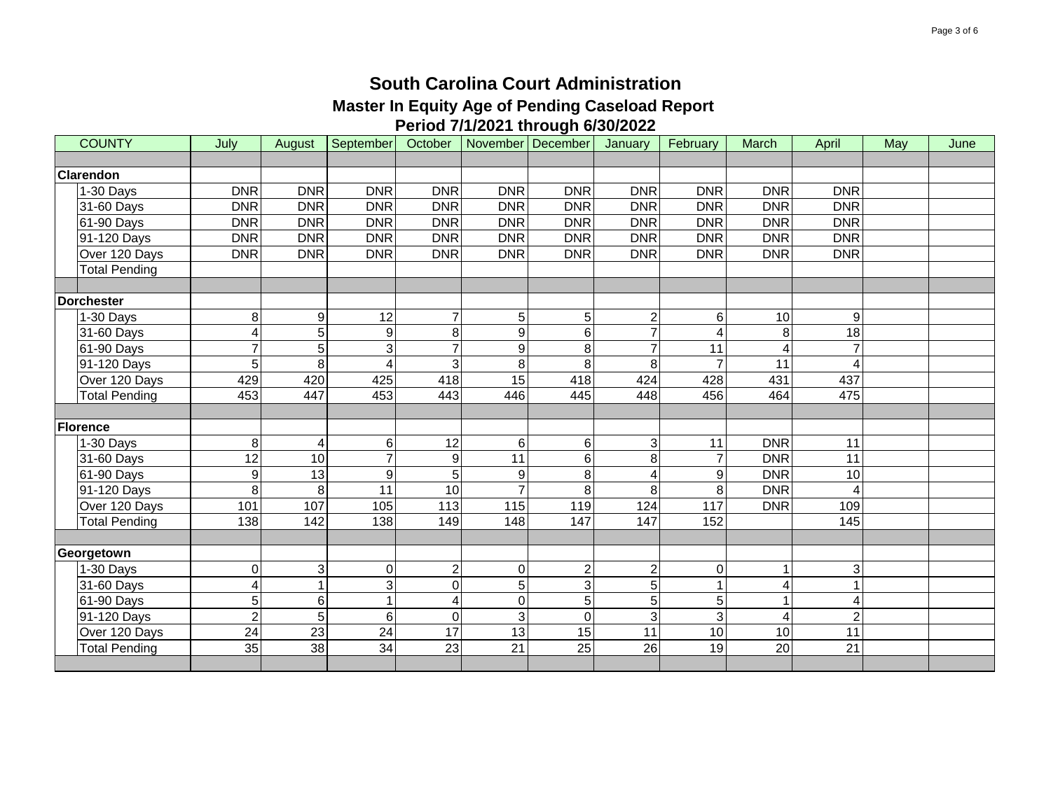| <b>COUNTY</b>        | July            | August         | September       | October         |                  | November December | January        | February   | March                   | April           | May | June |
|----------------------|-----------------|----------------|-----------------|-----------------|------------------|-------------------|----------------|------------|-------------------------|-----------------|-----|------|
|                      |                 |                |                 |                 |                  |                   |                |            |                         |                 |     |      |
| <b>Clarendon</b>     |                 |                |                 |                 |                  |                   |                |            |                         |                 |     |      |
| 1-30 Days            | <b>DNR</b>      | <b>DNR</b>     | <b>DNR</b>      | <b>DNR</b>      | <b>DNR</b>       | <b>DNR</b>        | <b>DNR</b>     | <b>DNR</b> | <b>DNR</b>              | <b>DNR</b>      |     |      |
| 31-60 Days           | <b>DNR</b>      | <b>DNR</b>     | <b>DNR</b>      | <b>DNR</b>      | <b>DNR</b>       | <b>DNR</b>        | <b>DNR</b>     | <b>DNR</b> | <b>DNR</b>              | <b>DNR</b>      |     |      |
| 61-90 Days           | <b>DNR</b>      | <b>DNR</b>     | <b>DNR</b>      | <b>DNR</b>      | <b>DNR</b>       | <b>DNR</b>        | <b>DNR</b>     | <b>DNR</b> | <b>DNR</b>              | <b>DNR</b>      |     |      |
| 91-120 Days          | <b>DNR</b>      | <b>DNR</b>     | <b>DNR</b>      | <b>DNR</b>      | <b>DNR</b>       | <b>DNR</b>        | <b>DNR</b>     | <b>DNR</b> | <b>DNR</b>              | <b>DNR</b>      |     |      |
| Over 120 Days        | <b>DNR</b>      | <b>DNR</b>     | <b>DNR</b>      | <b>DNR</b>      | <b>DNR</b>       | <b>DNR</b>        | <b>DNR</b>     | <b>DNR</b> | <b>DNR</b>              | <b>DNR</b>      |     |      |
| <b>Total Pending</b> |                 |                |                 |                 |                  |                   |                |            |                         |                 |     |      |
|                      |                 |                |                 |                 |                  |                   |                |            |                         |                 |     |      |
| Dorchester           |                 |                |                 |                 |                  |                   |                |            |                         |                 |     |      |
| 1-30 Days            | 8               | $\overline{9}$ | 12              |                 | $\sqrt{5}$       | 5                 | $\overline{2}$ | 6          | 10                      | 9               |     |      |
| 31-60 Days           | 4               | 5 <sup>1</sup> | 9               | 8               | $\boldsymbol{9}$ | 6                 | $\overline{7}$ | 4          | 8                       | 18              |     |      |
| 61-90 Days           | 7               | 5 <sup>1</sup> | 3               |                 | $\boldsymbol{9}$ | 8                 | $\overline{7}$ | 11         | $\overline{\mathbf{A}}$ |                 |     |      |
| 91-120 Days          | 5               | 8 <sup>1</sup> | $\overline{4}$  | 3               | 8                | 8                 | 8              |            | 11                      |                 |     |      |
| Over 120 Days        | 429             | 420            | 425             | 418             | $\overline{15}$  | 418               | 424            | 428        | 431                     | 437             |     |      |
| <b>Total Pending</b> | 453             | 447            | 453             | 443             | 446              | 445               | 448            | 456        | 464                     | 475             |     |      |
|                      |                 |                |                 |                 |                  |                   |                |            |                         |                 |     |      |
| <b>Florence</b>      |                 |                |                 |                 |                  |                   |                |            |                         |                 |     |      |
| 1-30 Days            | 8               | 4              | 6               | 12              | $\,6$            | 6                 | 3              | 11         | <b>DNR</b>              | 11              |     |      |
| 31-60 Days           | $\overline{12}$ | 10             | $\overline{7}$  | 9               | $\overline{11}$  | 6                 | 8              |            | <b>DNR</b>              | $\overline{11}$ |     |      |
| 61-90 Days           | 9               | 13             | 9               | 5               | $\boldsymbol{9}$ | 8                 | $\overline{4}$ | 9          | <b>DNR</b>              | 10              |     |      |
| 91-120 Days          | 8               | 8 <sup>1</sup> | 11              | 10              | 7                | 8                 | 8              | 8          | <b>DNR</b>              | Δ               |     |      |
| Over 120 Days        | 101             | 107            | 105             | 113             | 115              | 119               | 124            | 117        | <b>DNR</b>              | 109             |     |      |
| <b>Total Pending</b> | 138             | 142            | 138             | 149             | 148              | 147               | 147            | 152        |                         | 145             |     |      |
|                      |                 |                |                 |                 |                  |                   |                |            |                         |                 |     |      |
| Georgetown           |                 |                |                 |                 |                  |                   |                |            |                         |                 |     |      |
| 1-30 Days            | 0               | 3 <sup>1</sup> | 0               | $\overline{2}$  | $\pmb{0}$        | $\overline{2}$    | $\overline{2}$ | 0          | $\mathbf 1$             | 3               |     |      |
| 31-60 Days           | 4               | 1              | 3               | $\Omega$        | $\sqrt{5}$       | 3                 | 5              |            | $\overline{\mathbf{4}}$ |                 |     |      |
| 61-90 Days           | 5               | $6 \mid$       | $\mathbf{1}$    | 4               | $\mathbf 0$      | 5                 | 5              | 5          | $\mathbf{1}$            | Δ               |     |      |
| 91-120 Days          | $\overline{c}$  | 5              | 6               | 0               | 3                | $\overline{0}$    | 3              | 3          | 4                       | $\overline{2}$  |     |      |
| Over 120 Days        | 24              | 23             | 24              | 17              | 13               | 15                | 11             | 10         | 10                      | 11              |     |      |
| <b>Total Pending</b> | $\overline{35}$ | 38             | $\overline{34}$ | $\overline{23}$ | $\overline{21}$  | $\overline{25}$   | 26             | 19         | $\overline{20}$         | $\overline{21}$ |     |      |
|                      |                 |                |                 |                 |                  |                   |                |            |                         |                 |     |      |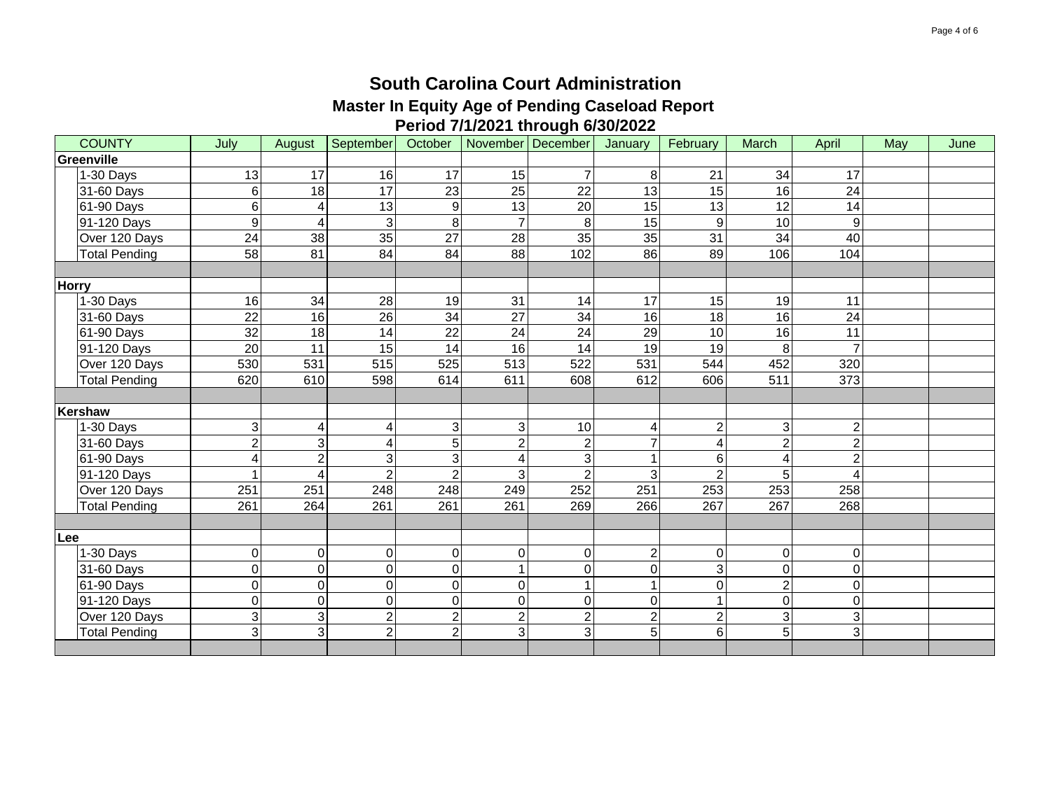| <b>COUNTY</b> | July            | August         | September       | October         |                 | November December   | January         | February        | March                     | April          | May | June |
|---------------|-----------------|----------------|-----------------|-----------------|-----------------|---------------------|-----------------|-----------------|---------------------------|----------------|-----|------|
| Greenville    |                 |                |                 |                 |                 |                     |                 |                 |                           |                |     |      |
| 1-30 Days     | 13              | 17             | 16              | 17              | 15              | $\overline{7}$      | 8               | 21              | 34                        | 17             |     |      |
| 31-60 Days    | 6               | $\frac{1}{8}$  | $\overline{17}$ | $\overline{23}$ | 25              | $\overline{22}$     | 13              | $\overline{15}$ | 16                        | 24             |     |      |
| 61-90 Days    | 6               | 4              | 13              | 9               | $\overline{13}$ | 20                  | 15              | 13              | 12                        | 14             |     |      |
| 91-120 Days   | 9               | 4              | 3               | 8               | $\overline{7}$  | 8                   | 15              | 9               | 10                        | 9              |     |      |
| Over 120 Days | 24              | 38             | 35              | 27              | 28              | 35                  | 35              | 31              | 34                        | 40             |     |      |
| Total Pending | 58              | 81             | 84              | 84              | 88              | 102                 | 86              | 89              | 106                       | 104            |     |      |
|               |                 |                |                 |                 |                 |                     |                 |                 |                           |                |     |      |
| <b>Horry</b>  |                 |                |                 |                 |                 |                     |                 |                 |                           |                |     |      |
| 1-30 Days     | 16              | 34             | 28              | 19              | 31              | 14                  | $\overline{17}$ | 15              | 19                        | 11             |     |      |
| 31-60 Days    | $\overline{22}$ | 16             | $\overline{26}$ | $\overline{34}$ | $\overline{27}$ | 34                  | 16              | 18              | 16                        | 24             |     |      |
| 61-90 Days    | 32              | 18             | $\overline{14}$ | 22              | $\overline{24}$ | 24                  | $\overline{29}$ | 10              | 16                        | 11             |     |      |
| 91-120 Days   | 20              | 11             | 15              | 14              | 16              | 14                  | 19              | 19              | 8                         | $\overline{7}$ |     |      |
| Over 120 Days | 530             | 531            | 515             | 525             | 513             | 522                 | 531             | 544             | 452                       | 320            |     |      |
| Total Pending | 620             | 610            | 598             | 614             | 611             | 608                 | 612             | 606             | 511                       | 373            |     |      |
|               |                 |                |                 |                 |                 |                     |                 |                 |                           |                |     |      |
| Kershaw       |                 |                |                 |                 |                 |                     |                 |                 |                           |                |     |      |
| 1-30 Days     | 3               | 4              | 4               | 3               | $\mathbf{3}$    | 10                  | $\overline{4}$  | $\overline{2}$  | $\ensuremath{\mathsf{3}}$ | $\overline{c}$ |     |      |
| 31-60 Days    | $\overline{c}$  | 3 <sup>1</sup> | 4               | 5               | $\overline{2}$  | $\overline{c}$      | $\overline{7}$  | 4               | $\overline{2}$            | $\overline{2}$ |     |      |
| 61-90 Days    | 4               | $\overline{c}$ | 3               | 3               | 4               | 3                   | 1               | 6               | 4                         | $\overline{2}$ |     |      |
| 91-120 Days   | 1               | $\overline{4}$ | $\overline{2}$  | 2               | 3               | $\overline{2}$      | 3               | $\mathcal{P}$   | 5                         | $\overline{4}$ |     |      |
| Over 120 Days | 251             | 251            | 248             | 248             | 249             | 252                 | 251             | 253             | 253                       | 258            |     |      |
| Total Pending | 261             | 264            | 261             | 261             | 261             | 269                 | 266             | 267             | 267                       | 268            |     |      |
|               |                 |                |                 |                 |                 |                     |                 |                 |                           |                |     |      |
| Lee           |                 |                |                 |                 |                 |                     |                 |                 |                           |                |     |      |
| 1-30 Days     | 0               | $\overline{0}$ | $\mathbf 0$     | 0               | $\pmb{0}$       | $\pmb{0}$           | $\overline{2}$  | $\Omega$        | $\mathsf{O}\xspace$       | 0              |     |      |
| 31-60 Days    | 0               | $\overline{0}$ | $\mathbf 0$     | $\Omega$        |                 | $\mathsf{O}\xspace$ | $\mathbf 0$     | 3               | $\mathbf 0$               | 0              |     |      |
| 61-90 Days    | 0               | $\overline{0}$ | $\mathbf 0$     | $\Omega$        | $\mathsf 0$     |                     | $\overline{1}$  | $\Omega$        | $\overline{2}$            | $\pmb{0}$      |     |      |
| 91-120 Days   | 0               | $\overline{0}$ | $\mathbf 0$     | $\Omega$        | $\overline{0}$  | $\mathbf 0$         | $\mathbf 0$     |                 | $\overline{\mathsf{o}}$   | $\mathbf 0$    |     |      |
| Over 120 Days | 3               | $\overline{3}$ | $\overline{2}$  | $\overline{2}$  | $\overline{2}$  | $\overline{2}$      | $\overline{2}$  | $\overline{c}$  | ω                         | 3              |     |      |
| Total Pending | ც               | دی             | $\overline{2}$  | $\overline{2}$  | $\overline{3}$  | دی                  | $\overline{5}$  | $6\phantom{.}$  | $\overline{5}$            | 3              |     |      |
|               |                 |                |                 |                 |                 |                     |                 |                 |                           |                |     |      |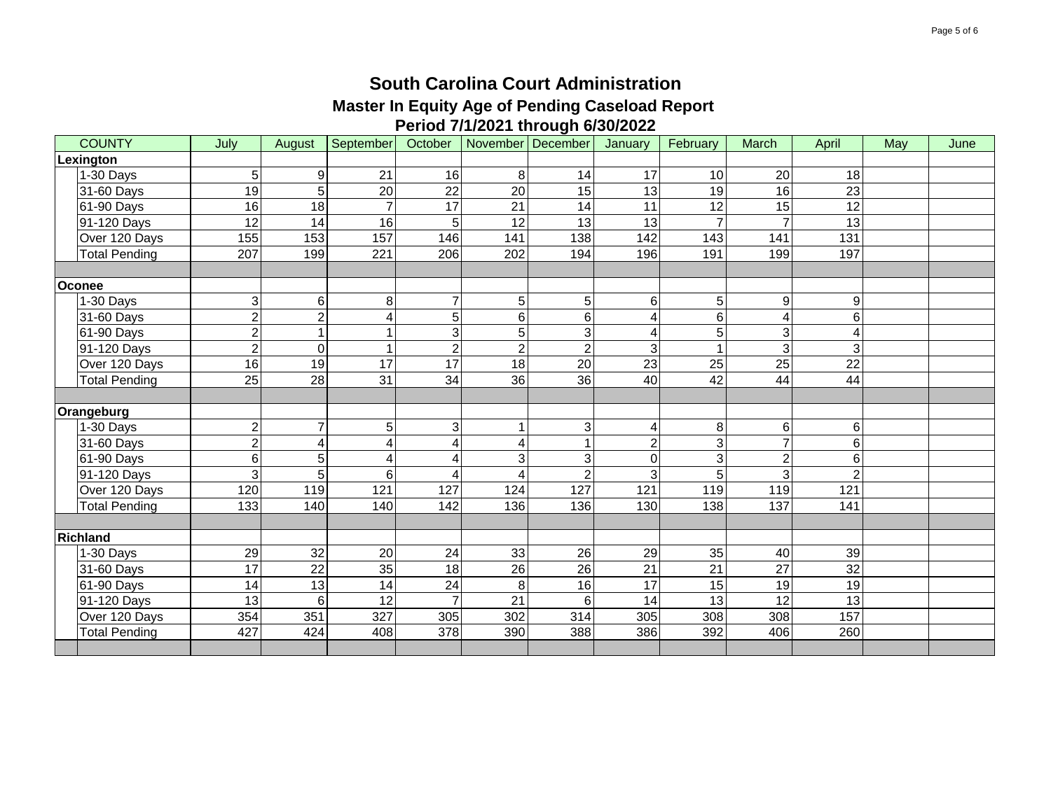| <b>COUNTY</b>        | July             | August          | September        | October         |                 | November December | January         | February | March          | April           | May | June |
|----------------------|------------------|-----------------|------------------|-----------------|-----------------|-------------------|-----------------|----------|----------------|-----------------|-----|------|
| Lexington            |                  |                 |                  |                 |                 |                   |                 |          |                |                 |     |      |
| 1-30 Days            | 5                | 9               | 21               | 16              | 8               | 14                | 17              | 10       | 20             | 18              |     |      |
| 31-60 Days           | 19               | 5               | 20               | $\overline{22}$ | 20              | 15                | $\overline{13}$ | 19       | 16             | $\overline{23}$ |     |      |
| 61-90 Days           | 16               | 18              | $\overline{7}$   | 17              | 21              | 14                | 11              | 12       | 15             | 12              |     |      |
| 91-120 Days          | 12               | 14              | 16               | 5               | 12              | 13                | 13              | 7        | $\overline{7}$ | 13              |     |      |
| Over 120 Days        | 155              | 153             | 157              | 146             | 141             | 138               | 142             | 143      | 141            | 131             |     |      |
| <b>Total Pending</b> | $\overline{207}$ | 199             | $\overline{221}$ | 206             | 202             | 194               | 196             | 191      | 199            | 197             |     |      |
|                      |                  |                 |                  |                 |                 |                   |                 |          |                |                 |     |      |
| Oconee               |                  |                 |                  |                 |                 |                   |                 |          |                |                 |     |      |
| 1-30 Days            | 3                | 6               | 8                | 7               | $\overline{5}$  | 5                 | 6               | 5        | 9              | 9               |     |      |
| 31-60 Days           | $\overline{2}$   | $\overline{2}$  | 4                | 5               | $\,6$           | $\,6\,$           | 4               | 6        | $\overline{4}$ | 6               |     |      |
| 61-90 Days           | $\overline{2}$   |                 |                  | $\overline{3}$  | $\overline{5}$  | $\mathbf{3}$      | 4               | 5        | 3              | Δ               |     |      |
| 91-120 Days          | $\overline{2}$   | $\Omega$        | $\overline{1}$   | $\overline{2}$  | $\overline{2}$  | $\overline{2}$    | 3               |          | 3              | 3               |     |      |
| Over 120 Days        | 16               | 19              | 17               | 17              | 18              | 20                | 23              | 25       | 25             | 22              |     |      |
| <b>Total Pending</b> | $\overline{25}$  | $\overline{28}$ | 31               | $\overline{34}$ | $\overline{36}$ | 36                | 40              | 42       | 44             | 44              |     |      |
|                      |                  |                 |                  |                 |                 |                   |                 |          |                |                 |     |      |
| Orangeburg           |                  |                 |                  |                 |                 |                   |                 |          |                |                 |     |      |
| 1-30 Days            | $\overline{c}$   | 7               | 5                | 3               |                 | 3 <sub>l</sub>    | $\overline{4}$  | 8        | 6              | 6               |     |      |
| 31-60 Days           | $\overline{2}$   | 4               | 4                | 4               | $\overline{A}$  | $\mathbf{1}$      | $\overline{2}$  | 3        | $\overline{7}$ | 6               |     |      |
| 61-90 Days           | $\overline{6}$   | 5               | 4                | 4               | 3               | 3                 | $\mathbf 0$     | 3        | $\overline{2}$ | 6               |     |      |
| 91-120 Days          | $\overline{3}$   | 5               | 6                | 4               | 4               | $\overline{2}$    | 3               | 5        | 3              | $\mathfrak{p}$  |     |      |
| Over 120 Days        | 120              | 119             | 121              | 127             | 124             | 127               | 121             | 119      | 119            | 121             |     |      |
| <b>Total Pending</b> | 133              | 140             | 140              | 142             | 136             | 136               | 130             | 138      | 137            | 141             |     |      |
|                      |                  |                 |                  |                 |                 |                   |                 |          |                |                 |     |      |
| <b>Richland</b>      |                  |                 |                  |                 |                 |                   |                 |          |                |                 |     |      |
| 1-30 Days            | 29               | 32              | 20               | 24              | 33              | 26                | 29              | 35       | 40             | 39              |     |      |
| 31-60 Days           | $\overline{17}$  | $\overline{22}$ | 35               | 18              | 26              | 26                | $\overline{21}$ | 21       | 27             | $\overline{32}$ |     |      |
| 61-90 Days           | 14               | $\overline{13}$ | 14               | 24              | 8               | 16                | 17              | 15       | 19             | 19              |     |      |
| 91-120 Days          | 13               | 6               | 12               | $\overline{7}$  | $\overline{21}$ | 6                 | 14              | 13       | 12             | 13              |     |      |
| Over 120 Days        | 354              | 351             | 327              | 305             | 302             | 314               | 305             | 308      | 308            | 157             |     |      |
| <b>Total Pending</b> | 427              | 424             | 408              | 378             | 390             | 388               | 386             | 392      | 406            | 260             |     |      |
|                      |                  |                 |                  |                 |                 |                   |                 |          |                |                 |     |      |